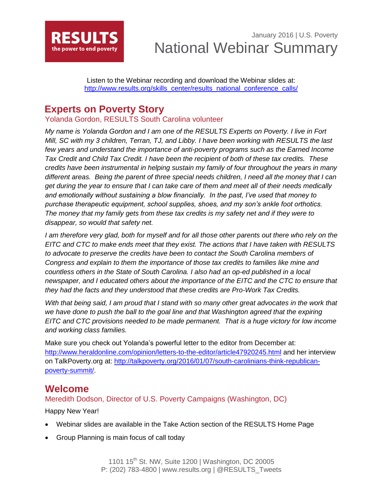

January 2016 | U.S. Poverty National Webinar Summary

Listen to the Webinar recording and download the Webinar slides at: [http://www.results.org/skills\\_center/results\\_national\\_conference\\_calls/](http://www.results.org/skills_center/results_national_conference_calls/)

# **Experts on Poverty Story**

Yolanda Gordon, RESULTS South Carolina volunteer

*My name is Yolanda Gordon and I am one of the RESULTS Experts on Poverty. I live in Fort Mill, SC with my 3 children, Terran, TJ, and Libby. I have been working with RESULTS the last*  few years and understand the importance of anti-poverty programs such as the Earned Income *Tax Credit and Child Tax Credit. I have been the recipient of both of these tax credits. These credits have been instrumental in helping sustain my family of four throughout the years in many different areas. Being the parent of three special needs children, I need all the money that I can get during the year to ensure that I can take care of them and meet all of their needs medically and emotionally without sustaining a blow financially. In the past, I've used that money to purchase therapeutic equipment, school supplies, shoes, and my son's ankle foot orthotics. The money that my family gets from these tax credits is my safety net and if they were to disappear, so would that safety net.* 

*I* am therefore very glad, both for myself and for all those other parents out there who rely on the *EITC and CTC to make ends meet that they exist. The actions that I have taken with RESULTS to advocate to preserve the credits have been to contact the South Carolina members of Congress and explain to them the importance of those tax credits to families like mine and countless others in the State of South Carolina. I also had an op-ed published in a local newspaper, and I educated others about the importance of the EITC and the CTC to ensure that they had the facts and they understood that these credits are Pro-Work Tax Credits.*

With that being said, I am proud that I stand with so many other great advocates in the work that we have done to push the ball to the goal line and that Washington agreed that the expiring *EITC and CTC provisions needed to be made permanent. That is a huge victory for low income and working class families.*

Make sure you check out Yolanda's powerful letter to the editor from December at: <http://www.heraldonline.com/opinion/letters-to-the-editor/article47920245.html> and her interview on TalkPoverty.org at: [http://talkpoverty.org/2016/01/07/south-carolinians-think-republican](http://talkpoverty.org/2016/01/07/south-carolinians-think-republican-poverty-summit/)[poverty-summit/.](http://talkpoverty.org/2016/01/07/south-carolinians-think-republican-poverty-summit/)

## **Welcome**

Meredith Dodson, Director of U.S. Poverty Campaigns (Washington, DC)

Happy New Year!

- Webinar slides are available in the Take Action section of the RESULTS Home Page
- Group Planning is main focus of call today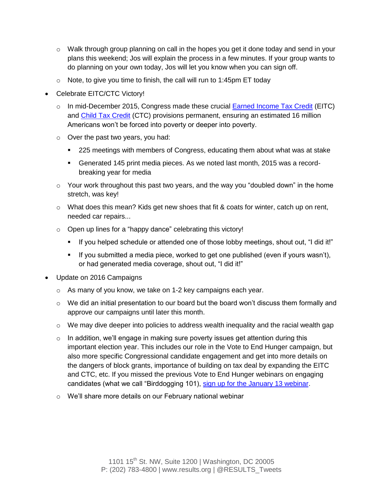- $\circ$  Walk through group planning on call in the hopes you get it done today and send in your plans this weekend; Jos will explain the process in a few minutes. If your group wants to do planning on your own today, Jos will let you know when you can sign off.
- $\circ$  Note, to give you time to finish, the call will run to 1:45pm ET today
- Celebrate EITC/CTC Victory!
	- $\circ$  In mid-December 2015, Congress made these crucial [Earned Income Tax Credit](http://www.results.org/issues/earned_income_tax_credit/) (EITC) and [Child Tax Credit](http://www.results.org/issues/child_tax_credit/) (CTC) provisions permanent, ensuring an estimated 16 million Americans won't be forced into poverty or deeper into poverty.
	- o Over the past two years, you had:
		- 225 meetings with members of Congress, educating them about what was at stake
		- Generated 145 print media pieces. As we noted last month, 2015 was a recordbreaking year for media
	- $\circ$  Your work throughout this past two years, and the way you "doubled down" in the home stretch, was key!
	- $\circ$  What does this mean? Kids get new shoes that fit & coats for winter, catch up on rent, needed car repairs...
	- $\circ$  Open up lines for a "happy dance" celebrating this victory!
		- If you helped schedule or attended one of those lobby meetings, shout out, "I did it!"
		- If you submitted a media piece, worked to get one published (even if yours wasn't), or had generated media coverage, shout out, "I did it!"
- Update on 2016 Campaigns
	- o As many of you know, we take on 1-2 key campaigns each year.
	- $\circ$  We did an initial presentation to our board but the board won't discuss them formally and approve our campaigns until later this month.
	- $\circ$  We may dive deeper into policies to address wealth inequality and the racial wealth gap
	- $\circ$  In addition, we'll engage in making sure poverty issues get attention during this important election year. This includes our role in the Vote to End Hunger campaign, but also more specific Congressional candidate engagement and get into more details on the dangers of block grants, importance of building on tax deal by expanding the EITC and CTC, etc. If you missed the previous Vote to End Hunger webinars on engaging candidates (what we call "Birddogging 101), [sign up for the January 13 webinar.](http://votetoendhunger.org/january-webinar/)
	- o We'll share more details on our February national webinar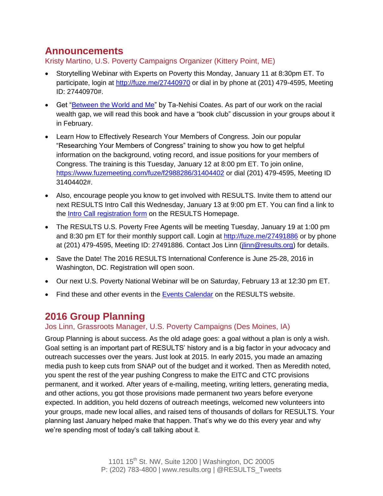## **Announcements**

Kristy Martino, U.S. Poverty Campaigns Organizer (Kittery Point, ME)

- Storytelling Webinar with Experts on Poverty this Monday, January 11 at 8:30pm ET. To participate, login at<http://fuze.me/27440970> or dial in by phone at (201) 479-4595, Meeting ID: 27440970#.
- Get ["Between the World and Me"](http://www.amazon.com/Between-World-Me-Ta-Nehisi-Coates-ebook/dp/B00SEFAIRI/ref=dp_kinw_strp_1) by Ta-Nehisi Coates. As part of our work on the racial wealth gap, we will read this book and have a "book club" discussion in your groups about it in February.
- Learn How to Effectively Research Your Members of Congress. Join our popular "Researching Your Members of Congress" training to show you how to get helpful information on the background, voting record, and issue positions for your members of Congress. The training is this Tuesday, January 12 at 8:00 pm ET. To join online, <https://www.fuzemeeting.com/fuze/f2988286/31404402> or dial (201) 479-4595, Meeting ID 31404402#.
- Also, encourage people you know to get involved with RESULTS. Invite them to attend our next RESULTS Intro Call this Wednesday, January 13 at 9:00 pm ET. You can find a link to the **Intro Call registration form** on the RESULTS Homepage.
- The RESULTS U.S. Poverty Free Agents will be meeting Tuesday, January 19 at 1:00 pm and 8:30 pm ET for their monthly support call. Login at<http://fuze.me/27491886> or by phone at (201) 479-4595, Meeting ID: 27491886. Contact Jos Linn (*jlinn@results.org*) for details.
- Save the Date! The 2016 RESULTS International Conference is June 25-28, 2016 in Washington, DC. Registration will open soon.
- Our next U.S. Poverty National Webinar will be on Saturday, February 13 at 12:30 pm ET.
- Find these and other events in the [Events Calendar](http://www.results.org/events/events_calendar/) on the RESULTS website.

# **2016 Group Planning**

## Jos Linn, Grassroots Manager, U.S. Poverty Campaigns (Des Moines, IA)

Group Planning is about success. As the old adage goes: a goal without a plan is only a wish. Goal setting is an important part of RESULTS' history and is a big factor in your advocacy and outreach successes over the years. Just look at 2015. In early 2015, you made an amazing media push to keep cuts from SNAP out of the budget and it worked. Then as Meredith noted, you spent the rest of the year pushing Congress to make the EITC and CTC provisions permanent, and it worked. After years of e-mailing, meeting, writing letters, generating media, and other actions, you got those provisions made permanent two years before everyone expected. In addition, you held dozens of outreach meetings, welcomed new volunteers into your groups, made new local allies, and raised tens of thousands of dollars for RESULTS. Your planning last January helped make that happen. That's why we do this every year and why we're spending most of today's call talking about it.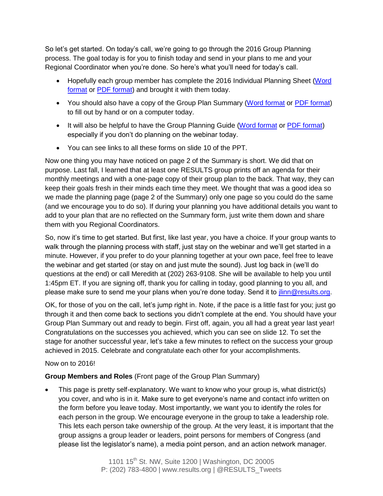So let's get started. On today's call, we're going to go through the 2016 Group Planning process. The goal today is for you to finish today and send in your plans to me and your Regional Coordinator when you're done. So here's what you'll need for today's call.

- Hopefully each group member has complete the 2016 Individual Planning Sheet [\(Word](http://www.results.org/uploads/files/2016_Individual_Planning_Form.doc)  [format](http://www.results.org/uploads/files/2016_Individual_Planning_Form.doc) or [PDF format\)](http://www.results.org/uploads/files/2016_Individual_Planning_Form.pdf) and brought it with them today.
- You should also have a copy of the Group Plan Summary [\(Word format](http://www.results.org/uploads/files/2016_RESULTS_Group_Plan_Summary.doc) or [PDF format\)](http://www.results.org/uploads/files/2016_RESULTS_Group_Plan_Summary.pdf) to fill out by hand or on a computer today.
- It will also be helpful to have the Group Planning Guide [\(Word format](http://www.results.org/uploads/files/2016_Group_Planning_Guide.doc) or [PDF format\)](http://www.results.org/uploads/files/2016_Group_Planning_Guide.pdf) especially if you don't do planning on the webinar today.
- You can see links to all these forms on slide 10 of the PPT.

Now one thing you may have noticed on page 2 of the Summary is short. We did that on purpose. Last fall, I learned that at least one RESULTS group prints off an agenda for their monthly meetings and with a one-page copy of their group plan to the back. That way, they can keep their goals fresh in their minds each time they meet. We thought that was a good idea so we made the planning page (page 2 of the Summary) only one page so you could do the same (and we encourage you to do so). If during your planning you have additional details you want to add to your plan that are no reflected on the Summary form, just write them down and share them with you Regional Coordinators.

So, now it's time to get started. But first, like last year, you have a choice. If your group wants to walk through the planning process with staff, just stay on the webinar and we'll get started in a minute. However, if you prefer to do your planning together at your own pace, feel free to leave the webinar and get started (or stay on and just mute the sound). Just log back in (we'll do questions at the end) or call Meredith at (202) 263-9108. She will be available to help you until 1:45pm ET. If you are signing off, thank you for calling in today, good planning to you all, and please make sure to send me your plans when you're done today. Send it to *jlinn@results.org*.

OK, for those of you on the call, let's jump right in. Note, if the pace is a little fast for you; just go through it and then come back to sections you didn't complete at the end. You should have your Group Plan Summary out and ready to begin. First off, again, you all had a great year last year! Congratulations on the successes you achieved, which you can see on slide 12. To set the stage for another successful year, let's take a few minutes to reflect on the success your group achieved in 2015. Celebrate and congratulate each other for your accomplishments.

### Now on to 2016!

### **Group Members and Roles** (Front page of the Group Plan Summary)

 This page is pretty self-explanatory. We want to know who your group is, what district(s) you cover, and who is in it. Make sure to get everyone's name and contact info written on the form before you leave today. Most importantly, we want you to identify the roles for each person in the group. We encourage everyone in the group to take a leadership role. This lets each person take ownership of the group. At the very least, it is important that the group assigns a group leader or leaders, point persons for members of Congress (and please list the legislator's name), a media point person, and an action network manager.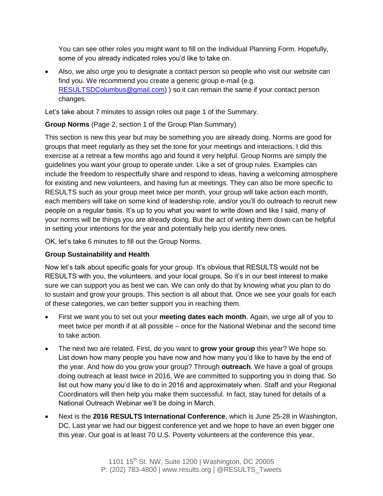You can see other roles you might want to fill on the Individual Planning Form. Hopefully, some of you already indicated roles you'd like to take on.

 Also, we also urge you to designate a contact person so people who visit our website can find you. We recommend you create a generic group e-mail (e.g. [RESULTSDColumbus@gmail.com\)](mailto:RESULTSDColumbus@gmail.com) ) so it can remain the same if your contact person changes.

Let's take about 7 minutes to assign roles out page 1 of the Summary.

## **Group Norms** (Page 2, section 1 of the Group Plan Summary)

This section is new this year but may be something you are already doing. Norms are good for groups that meet regularly as they set the tone for your meetings and interactions. I did this exercise at a retreat a few months ago and found it very helpful. Group Norms are simply the guidelines you want your group to operate under. Like a set of group rules. Examples can include the freedom to respectfully share and respond to ideas, having a welcoming atmosphere for existing and new volunteers, and having fun at meetings. They can also be more specific to RESULTS such as your group meet twice per month, your group will take action each month, each members will take on some kind of leadership role, and/or you'll do outreach to recruit new people on a regular basis. It's up to you what you want to write down and like I said, many of your norms will be things you are already doing. But the act of writing them down can be helpful in setting your intentions for the year and potentially help you identify new ones.

OK, let's take 6 minutes to fill out the Group Norms.

## **Group Sustainability and Health**

Now let's talk about specific goals for your group. It's obvious that RESULTS would not be RESULTS with you, the volunteers, and your local groups. So it's in our best interest to make sure we can support you as best we can. We can only do that by knowing what *you* plan to do to sustain and grow your groups. This section is all about that. Once we see your goals for each of these categories, we can better support you in reaching them.

- First we want you to set out your **meeting dates each month**. Again, we urge all of you to meet twice per month if at all possible – once for the National Webinar and the second time to take action.
- The next two are related. First, do you want to **grow your group** this year? We hope so. List down how many people you have now and how many you'd like to have by the end of the year. And how do you grow your group? Through **outreach**. We have a goal of groups doing outreach at least twice in 2016. We are committed to supporting you in doing that. So list out how many you'd like to do in 2016 and approximately when. Staff and your Regional Coordinators will then help you make them successful. In fact, stay tuned for details of a National Outreach Webinar we'll be doing in March.
- Next is the **2016 RESULTS International Conference**, which is June 25-28 in Washington, DC. Last year we had our biggest conference yet and we hope to have an even bigger one this year. Our goal is at least 70 U.S. Poverty volunteers at the conference this year,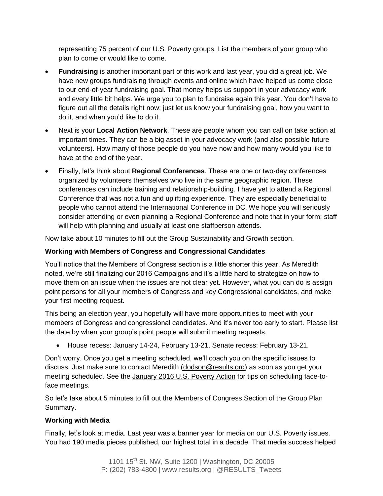representing 75 percent of our U.S. Poverty groups. List the members of your group who plan to come or would like to come.

- **Fundraising** is another important part of this work and last year, you did a great job. We have new groups fundraising through events and online which have helped us come close to our end-of-year fundraising goal. That money helps us support in your advocacy work and every little bit helps. We urge you to plan to fundraise again this year. You don't have to figure out all the details right now; just let us know your fundraising goal, how you want to do it, and when you'd like to do it.
- Next is your **Local Action Network**. These are people whom you can call on take action at important times. They can be a big asset in your advocacy work (and also possible future volunteers). How many of those people do you have now and how many would you like to have at the end of the year.
- Finally, let's think about **Regional Conferences**. These are one or two-day conferences organized by volunteers themselves who live in the same geographic region. These conferences can include training and relationship-building. I have yet to attend a Regional Conference that was not a fun and uplifting experience. They are especially beneficial to people who cannot attend the International Conference in DC. We hope you will seriously consider attending or even planning a Regional Conference and note that in your form; staff will help with planning and usually at least one staffperson attends.

Now take about 10 minutes to fill out the Group Sustainability and Growth section.

### **Working with Members of Congress and Congressional Candidates**

You'll notice that the Members of Congress section is a little shorter this year. As Meredith noted, we're still finalizing our 2016 Campaigns and it's a little hard to strategize on how to move them on an issue when the issues are not clear yet. However, what you can do is assign point persons for all your members of Congress and key Congressional candidates, and make your first meeting request.

This being an election year, you hopefully will have more opportunities to meet with your members of Congress and congressional candidates. And it's never too early to start. Please list the date by when your group's point people will submit meeting requests.

House recess: January 14-24, February 13-21. Senate recess: February 13-21.

Don't worry. Once you get a meeting scheduled, we'll coach you on the specific issues to discuss. Just make sure to contact Meredith [\(dodson@results.org\)](mailto:dodson@results.org) as soon as you get your meeting scheduled. See the January 2016 [U.S. Poverty Action](http://www.results.org/take_action/january_2016_u.s._poverty_action/) for tips on scheduling face-toface meetings.

So let's take about 5 minutes to fill out the Members of Congress Section of the Group Plan Summary.

### **Working with Media**

Finally, let's look at media. Last year was a banner year for media on our U.S. Poverty issues. You had 190 media pieces published, our highest total in a decade. That media success helped